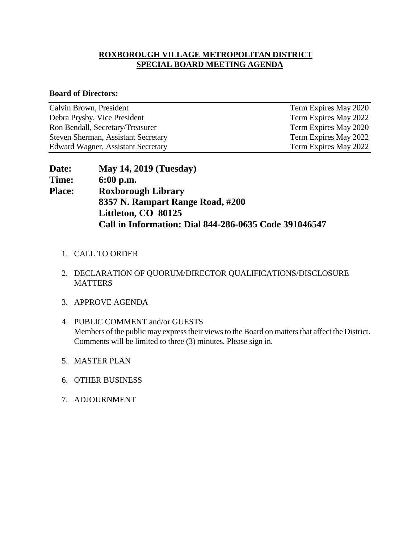## **ROXBOROUGH VILLAGE METROPOLITAN DISTRICT SPECIAL BOARD MEETING AGENDA**

## **Board of Directors:**

| Calvin Brown, President             | Term Expires May 2020 |
|-------------------------------------|-----------------------|
| Debra Prysby, Vice President        | Term Expires May 2022 |
| Ron Bendall, Secretary/Treasurer    | Term Expires May 2020 |
| Steven Sherman, Assistant Secretary | Term Expires May 2022 |
| Edward Wagner, Assistant Secretary  | Term Expires May 2022 |

| <b>Date:</b>  | <b>May 14, 2019 (Tuesday)</b>                         |
|---------------|-------------------------------------------------------|
| <b>Time:</b>  | $6:00$ p.m.                                           |
| <b>Place:</b> | <b>Roxborough Library</b>                             |
|               | 8357 N. Rampart Range Road, #200                      |
|               | Littleton, CO 80125                                   |
|               | Call in Information: Dial 844-286-0635 Code 391046547 |

- 1. CALL TO ORDER
- 2. DECLARATION OF QUORUM/DIRECTOR QUALIFICATIONS/DISCLOSURE **MATTERS**
- 3. APPROVE AGENDA
- 4. PUBLIC COMMENT and/or GUESTS Members of the public may express their views to the Board on matters that affect the District. Comments will be limited to three (3) minutes. Please sign in.
- 5. MASTER PLAN
- 6. OTHER BUSINESS
- 7. ADJOURNMENT